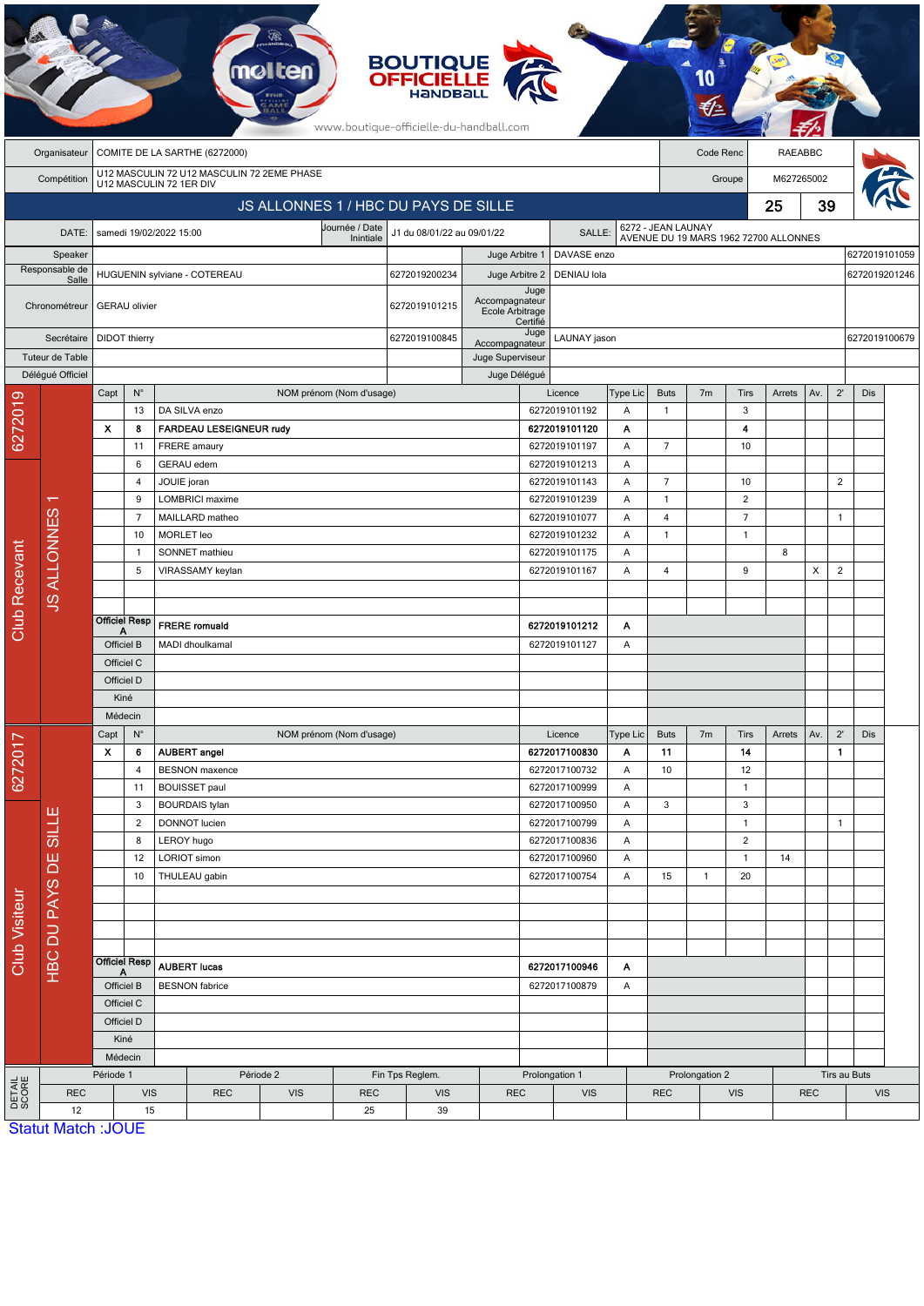|                      | <b>BOUTIQUE</b><br><b>OFFICIELLE</b><br>HANDBALL<br>www.boutique-officielle-du-handball.com |                                                                       |                    |                                                                  |                                |                                |                          |                                      |                                   |                  |                                               |                |                                                             |                |                            |                |                |                |               |               |
|----------------------|---------------------------------------------------------------------------------------------|-----------------------------------------------------------------------|--------------------|------------------------------------------------------------------|--------------------------------|--------------------------------|--------------------------|--------------------------------------|-----------------------------------|------------------|-----------------------------------------------|----------------|-------------------------------------------------------------|----------------|----------------------------|----------------|----------------|----------------|---------------|---------------|
|                      | Organisateur                                                                                | COMITE DE LA SARTHE (6272000)                                         |                    |                                                                  |                                |                                |                          |                                      |                                   |                  |                                               |                |                                                             | Code Renc      |                            | <b>RAEABBC</b> |                |                |               |               |
|                      | Compétition                                                                                 | U12 MASCULIN 72 U12 MASCULIN 72 2EME PHASE<br>U12 MASCULIN 72 1ER DIV |                    |                                                                  |                                |                                |                          |                                      |                                   |                  |                                               |                |                                                             |                | M627265002<br>Groupe       |                |                |                |               |               |
|                      | JS ALLONNES 1 / HBC DU PAYS DE SILLE                                                        |                                                                       |                    |                                                                  |                                |                                |                          |                                      |                                   |                  |                                               |                |                                                             |                | 25                         |                |                |                |               |               |
|                      | DATE:                                                                                       |                                                                       |                    | samedi 19/02/2022 15:00                                          |                                |                                | Journée / Date           | J1 du 08/01/22 au 09/01/22<br>SALLE: |                                   |                  |                                               |                | 6272 - JEAN LAUNAY<br>AVENUE DU 19 MARS 1962 72700 ALLONNES |                |                            |                |                |                |               |               |
|                      | Speaker                                                                                     |                                                                       |                    |                                                                  |                                |                                | Inintiale                |                                      | Juge Arbitre 1                    |                  | DAVASE enzo                                   |                |                                                             |                |                            |                |                |                | 6272019101059 |               |
|                      | Responsable de<br>Salle                                                                     |                                                                       |                    | HUGUENIN sylviane - COTEREAU                                     |                                |                                |                          | 6272019200234                        | Juge Arbitre 2                    |                  | DENIAU Iola                                   |                |                                                             |                |                            |                |                |                |               | 6272019201246 |
|                      | Chronométreur                                                                               | <b>GERAU</b> olivier                                                  |                    |                                                                  |                                |                                |                          | 6272019101215                        | Accompagnateur<br>Ecole Arbitrage | Juge<br>Certifié |                                               |                |                                                             |                |                            |                |                |                |               |               |
|                      | Secrétaire<br>Tuteur de Table                                                               | <b>DIDOT</b> thierry                                                  |                    |                                                                  |                                |                                | 6272019100845            | Accompagnateur<br>Juge Superviseur   | Juge                              | LAUNAY jason     |                                               |                |                                                             |                | 6272019100679              |                |                |                |               |               |
|                      | Délégué Officiel                                                                            |                                                                       |                    |                                                                  |                                |                                |                          |                                      | Juge Délégué                      |                  |                                               |                |                                                             |                |                            |                |                |                |               |               |
|                      |                                                                                             | Capt                                                                  | $\mathsf{N}^\circ$ |                                                                  |                                |                                | NOM prénom (Nom d'usage) |                                      |                                   |                  | Licence                                       | Type Lic       | <b>Buts</b>                                                 | 7 <sub>m</sub> | Tirs                       | Arrets         | Av.            | $2^{\prime}$   | Dis           |               |
| 6272019              |                                                                                             | X                                                                     | 13<br>8            | DA SILVA enzo                                                    | <b>FARDEAU LESEIGNEUR rudy</b> |                                |                          |                                      |                                   |                  | 6272019101192<br>6272019101120                | Α<br>Α         | $\mathbf{1}$                                                |                | 3<br>4                     |                |                |                |               |               |
|                      |                                                                                             |                                                                       | 11                 | FRERE amaury                                                     |                                |                                |                          |                                      |                                   |                  | 6272019101197                                 | Α              | $\overline{7}$                                              |                | 10                         |                |                |                |               |               |
|                      |                                                                                             |                                                                       | 6                  | GERAU edem                                                       |                                |                                |                          |                                      |                                   |                  | 6272019101213                                 | Α              |                                                             |                |                            |                |                |                |               |               |
|                      |                                                                                             |                                                                       | 4                  | JOUIE joran                                                      |                                |                                |                          |                                      |                                   |                  | 6272019101143                                 | Α              | $\overline{7}$                                              |                | 10                         |                |                | $\overline{2}$ |               |               |
|                      |                                                                                             | 9                                                                     |                    | LOMBRICI maxime                                                  |                                |                                |                          |                                      |                                   |                  | 6272019101239                                 | Α              | $\mathbf{1}$                                                |                | $\overline{2}$             |                |                |                |               |               |
|                      |                                                                                             | $\overline{7}$                                                        |                    | MAILLARD matheo                                                  |                                |                                |                          |                                      |                                   | 6272019101077    | Α                                             | $\overline{4}$ |                                                             | $\overline{7}$ |                            |                | $\mathbf{1}$   |                |               |               |
|                      |                                                                                             |                                                                       | 10                 |                                                                  | <b>MORLET</b> leo              |                                |                          |                                      |                                   |                  | 6272019101232<br>Α<br>6272019101175<br>A<br>A |                | $\mathbf{1}$                                                |                | $\mathbf{1}$               |                |                |                |               |               |
|                      | <b>JS ALLONNES</b>                                                                          |                                                                       | 1                  | SONNET mathieu                                                   |                                |                                |                          |                                      |                                   |                  |                                               |                |                                                             |                |                            | 8              |                |                |               |               |
| <b>Club Recevant</b> |                                                                                             |                                                                       | 5                  |                                                                  | VIRASSAMY keylan               |                                |                          |                                      |                                   |                  | 6272019101167                                 | 4              |                                                             | 9              |                            | X              | $\overline{2}$ |                |               |               |
|                      |                                                                                             |                                                                       |                    |                                                                  |                                |                                |                          |                                      |                                   |                  |                                               |                |                                                             |                |                            |                |                |                |               |               |
|                      |                                                                                             | <b>Officiel Resp</b>                                                  |                    | <b>FRERE</b> romuald                                             |                                |                                |                          |                                      |                                   | 6272019101212    | Α                                             |                |                                                             |                |                            |                |                |                |               |               |
|                      |                                                                                             | Α<br>Officiel B                                                       |                    | MADI dhoulkamal                                                  |                                |                                |                          |                                      | 6272019101127                     | Α                |                                               |                |                                                             |                |                            |                |                |                |               |               |
|                      |                                                                                             | Officiel C                                                            |                    |                                                                  |                                |                                |                          |                                      |                                   |                  |                                               |                |                                                             |                |                            |                |                |                |               |               |
|                      |                                                                                             | Officiel D                                                            |                    |                                                                  |                                |                                |                          |                                      |                                   |                  |                                               |                |                                                             |                |                            |                |                |                |               |               |
|                      |                                                                                             | Kiné                                                                  |                    |                                                                  |                                |                                |                          |                                      |                                   |                  |                                               |                |                                                             |                |                            |                |                |                |               |               |
|                      |                                                                                             | Médecin                                                               |                    |                                                                  |                                |                                |                          |                                      |                                   |                  |                                               |                |                                                             |                |                            |                |                |                |               |               |
|                      |                                                                                             | Capt                                                                  | $\mathsf{N}^\circ$ |                                                                  |                                |                                | NOM prénom (Nom d'usage) |                                      |                                   |                  | Licence                                       | Type Lic       | <b>Buts</b>                                                 | 7 <sub>m</sub> | Tirs                       | Arrets         | Av.            | $2^{\prime}$   | Dis           |               |
| 6272017              |                                                                                             | $\pmb{\mathsf{x}}$                                                    | 6                  | <b>AUBERT</b> angel                                              |                                |                                |                          |                                      |                                   |                  | 6272017100830                                 | Α              | 11                                                          |                | 14                         |                |                | $\mathbf{1}$   |               |               |
|                      |                                                                                             |                                                                       | 4<br>11            | <b>BESNON</b> maxence<br><b>BOUISSET</b> paul                    |                                |                                |                          |                                      |                                   |                  | 6272017100732<br>6272017100999                | Α<br>Α         | 10                                                          |                | 12<br>$\mathbf{1}$         |                |                |                |               |               |
|                      |                                                                                             |                                                                       | 3                  | <b>BOURDAIS tylan</b>                                            |                                |                                |                          |                                      |                                   |                  | 6272017100950                                 | Α              | 3                                                           |                | 3                          |                |                |                |               |               |
|                      | HBC DU PAYS DE SILLE                                                                        |                                                                       | $\overline{2}$     | DONNOT lucien                                                    |                                |                                |                          |                                      |                                   |                  | 6272017100799                                 | Α              |                                                             |                | $\mathbf{1}$               |                |                | $\mathbf{1}$   |               |               |
|                      |                                                                                             |                                                                       | 8                  | LEROY hugo                                                       |                                |                                |                          |                                      |                                   |                  | 6272017100836                                 | Α              |                                                             |                | $\overline{c}$             |                |                |                |               |               |
|                      |                                                                                             |                                                                       | 12                 | LORIOT simon                                                     |                                |                                |                          |                                      |                                   |                  | 6272017100960                                 | Α              |                                                             |                | $\mathbf{1}$               | 14             |                |                |               |               |
|                      |                                                                                             |                                                                       | 10                 | THULEAU gabin                                                    |                                |                                |                          |                                      |                                   |                  | 6272017100754                                 | Α              | 15                                                          | $\mathbf{1}$   | 20                         |                |                |                |               |               |
|                      |                                                                                             |                                                                       |                    |                                                                  |                                |                                |                          |                                      |                                   |                  |                                               |                |                                                             |                |                            |                |                |                |               |               |
|                      |                                                                                             |                                                                       |                    |                                                                  |                                |                                |                          |                                      |                                   |                  |                                               |                |                                                             |                |                            |                |                |                |               |               |
| Club Visiteur        |                                                                                             |                                                                       |                    |                                                                  |                                |                                |                          |                                      |                                   |                  |                                               |                |                                                             |                |                            |                |                |                |               |               |
|                      |                                                                                             | <b>Officiel Resp</b><br>A                                             |                    | <b>AUBERT lucas</b>                                              |                                |                                |                          |                                      |                                   | 6272017100946    | A                                             |                |                                                             |                |                            |                |                |                |               |               |
|                      |                                                                                             | Officiel B<br>Officiel C                                              |                    | <b>BESNON</b> fabrice                                            |                                |                                |                          |                                      | 6272017100879<br>Α                |                  |                                               |                |                                                             |                |                            |                |                |                |               |               |
|                      |                                                                                             |                                                                       |                    |                                                                  |                                |                                |                          |                                      |                                   |                  |                                               |                |                                                             |                |                            |                |                |                |               |               |
|                      |                                                                                             |                                                                       | Officiel D         |                                                                  |                                |                                |                          |                                      |                                   |                  |                                               |                |                                                             |                |                            |                |                |                |               |               |
|                      |                                                                                             | Kiné                                                                  |                    |                                                                  |                                |                                |                          |                                      |                                   |                  |                                               |                |                                                             |                |                            |                |                |                |               |               |
|                      |                                                                                             | Médecin                                                               |                    |                                                                  |                                |                                |                          |                                      |                                   |                  |                                               |                |                                                             |                |                            |                |                |                |               |               |
|                      |                                                                                             | Période 1                                                             |                    | Période 2                                                        |                                |                                | Fin Tps Reglem.          | Prolongation 1                       |                                   |                  | Prolongation 2<br><b>REC</b><br><b>VIS</b>    |                |                                                             |                | Tirs au Buts<br><b>REC</b> |                |                |                |               |               |
| DETAIL<br>SCORE      | <b>REC</b><br>12                                                                            |                                                                       |                    | <b>VIS</b><br><b>REC</b><br><b>VIS</b><br><b>REC</b><br>15<br>25 |                                | <b>VIS</b><br><b>REC</b><br>39 |                          | <b>VIS</b>                           |                                   |                  |                                               |                |                                                             |                |                            | <b>VIS</b>     |                |                |               |               |
|                      | <b>Statut Match: JOUE</b>                                                                   |                                                                       |                    |                                                                  |                                |                                |                          |                                      |                                   |                  |                                               |                |                                                             |                |                            |                |                |                |               |               |